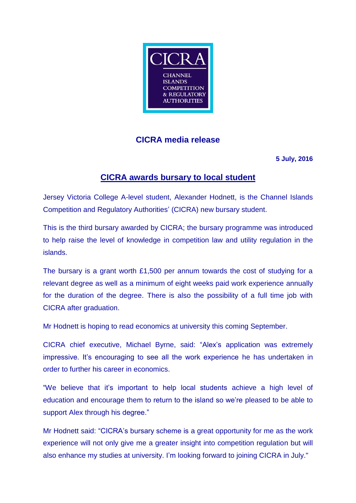

## **CICRA media release**

**5 July, 2016**

## **CICRA awards bursary to local student**

Jersey Victoria College A-level student, Alexander Hodnett, is the Channel Islands Competition and Regulatory Authorities' (CICRA) new bursary student.

This is the third bursary awarded by CICRA; the bursary programme was introduced to help raise the level of knowledge in competition law and utility regulation in the islands.

The bursary is a grant worth £1,500 per annum towards the cost of studying for a relevant degree as well as a minimum of eight weeks paid work experience annually for the duration of the degree. There is also the possibility of a full time job with CICRA after graduation.

Mr Hodnett is hoping to read economics at university this coming September.

CICRA chief executive, Michael Byrne, said: "Alex's application was extremely impressive. It's encouraging to see all the work experience he has undertaken in order to further his career in economics.

"We believe that it's important to help local students achieve a high level of education and encourage them to return to the island so we're pleased to be able to support Alex through his degree."

Mr Hodnett said: "CICRA's bursary scheme is a great opportunity for me as the work experience will not only give me a greater insight into competition regulation but will also enhance my studies at university. I'm looking forward to joining CICRA in July."